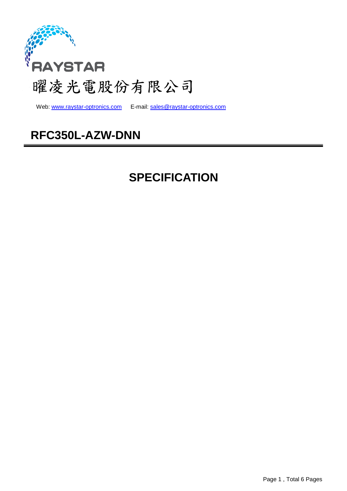

Web: www.raystar-optronics.com E-mail: sales@raystar-optronics.com

### **RFC350L-AZW-DNN**

## **SPECIFICATION**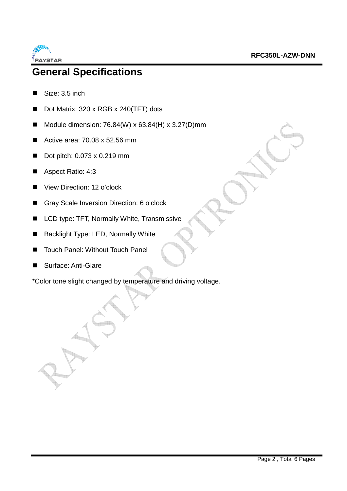

### **General Specifications**

- Size: 3.5 inch
- Dot Matrix: 320 x RGB x 240(TFT) dots
- Module dimension:  $76.84(W) \times 63.84(H) \times 3.27(D)$ mm
- Active area:  $70.08 \times 52.56 \text{ mm}$
- Dot pitch: 0.073 x 0.219 mm
- Aspect Ratio: 4:3
- View Direction: 12 o'clock
- Gray Scale Inversion Direction: 6 o'clock
- **LCD type: TFT, Normally White, Transmissive**
- Backlight Type: LED, Normally White
- Touch Panel: Without Touch Panel
- Surface: Anti-Glare

\*Color tone slight changed by temperature and driving voltage.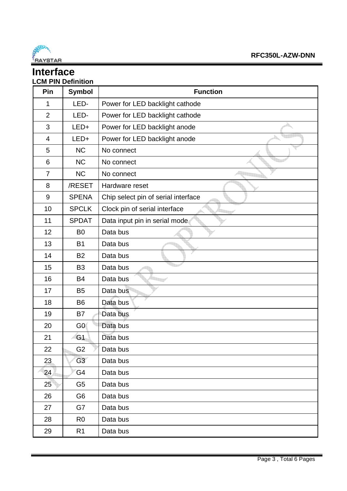

#### **Interface LCM PIN Definition**

| Pin            | <b>Symbol</b>  | <b>Function</b>                     |
|----------------|----------------|-------------------------------------|
| 1              | LED-           | Power for LED backlight cathode     |
| $\overline{2}$ | LED-           | Power for LED backlight cathode     |
| 3              | LED+           | Power for LED backlight anode       |
| 4              | LED+           | Power for LED backlight anode       |
| 5              | <b>NC</b>      | No connect                          |
| 6              | <b>NC</b>      | No connect                          |
| $\overline{7}$ | <b>NC</b>      | No connect                          |
| 8              | /RESET         | Hardware reset                      |
| $9\,$          | <b>SPENA</b>   | Chip select pin of serial interface |
| 10             | <b>SPCLK</b>   | Clock pin of serial interface       |
| 11             | <b>SPDAT</b>   | Data input pin in serial mode       |
| 12             | B <sub>0</sub> | Data bus                            |
| 13             | <b>B1</b>      | Data bus                            |
| 14             | <b>B2</b>      | Data bus                            |
| 15             | B <sub>3</sub> | Data bus                            |
| 16             | <b>B4</b>      | Data bus                            |
| 17             | <b>B5</b>      | Data bus                            |
| 18             | B <sub>6</sub> | Data bus                            |
| 19             | B7             | Data bus                            |
| 20             | G0             | Data bus                            |
| 21             | G <sub>1</sub> | Data bus                            |
| 22             | G <sub>2</sub> | Data bus                            |
| 23             | G3             | Data bus                            |
| 24             | G4             | Data bus                            |
| 25             | G <sub>5</sub> | Data bus                            |
| 26             | G <sub>6</sub> | Data bus                            |
| 27             | G7             | Data bus                            |
| 28             | R <sub>0</sub> | Data bus                            |
| 29             | R1             | Data bus                            |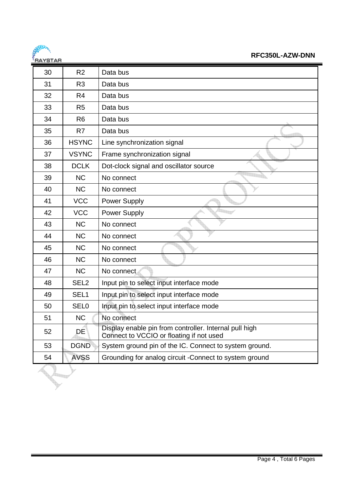

| 30 | R <sub>2</sub>   | Data bus                                                                                           |
|----|------------------|----------------------------------------------------------------------------------------------------|
| 31 | R <sub>3</sub>   | Data bus                                                                                           |
| 32 | R <sub>4</sub>   | Data bus                                                                                           |
| 33 | R <sub>5</sub>   | Data bus                                                                                           |
| 34 | R <sub>6</sub>   | Data bus                                                                                           |
| 35 | R7               | Data bus                                                                                           |
| 36 | <b>HSYNC</b>     | Line synchronization signal                                                                        |
| 37 | <b>VSYNC</b>     | Frame synchronization signal                                                                       |
| 38 | <b>DCLK</b>      | Dot-clock signal and oscillator source                                                             |
| 39 | <b>NC</b>        | No connect                                                                                         |
| 40 | <b>NC</b>        | No connect                                                                                         |
| 41 | <b>VCC</b>       | Power Supply                                                                                       |
| 42 | <b>VCC</b>       | Power Supply                                                                                       |
| 43 | <b>NC</b>        | No connect                                                                                         |
| 44 | <b>NC</b>        | No connect                                                                                         |
| 45 | <b>NC</b>        | No connect                                                                                         |
| 46 | <b>NC</b>        | No connect                                                                                         |
| 47 | <b>NC</b>        | No connect                                                                                         |
| 48 | SEL <sub>2</sub> | Input pin to select input interface mode                                                           |
| 49 | SEL <sub>1</sub> | Input pin to select input interface mode                                                           |
| 50 | <b>SEL0</b>      | Input pin to select input interface mode                                                           |
| 51 | <b>NC</b>        | No connect                                                                                         |
| 52 | DE               | Display enable pin from controller. Internal pull high<br>Connect to VCCIO or floating if not used |
| 53 | <b>DGND</b>      | System ground pin of the IC. Connect to system ground.                                             |
| 54 | <b>AVSS</b>      | Grounding for analog circuit -Connect to system ground                                             |
|    |                  |                                                                                                    |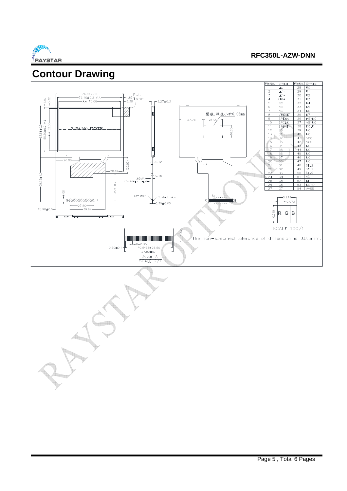

### **Contour Drawing**